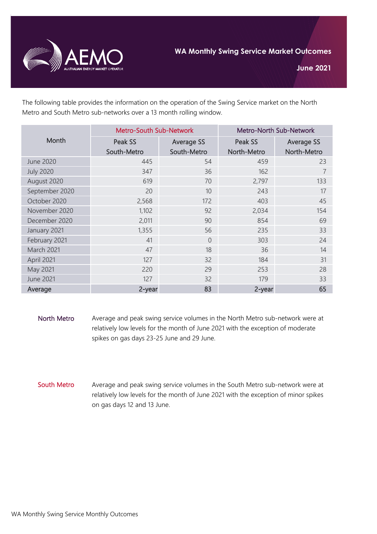

The following table provides the information on the operation of the Swing Service market on the North Metro and South Metro sub-networks over a 13 month rolling window.

| Month            | <b>Metro-South Sub-Network</b> |                   | Metro-North Sub-Network |                   |
|------------------|--------------------------------|-------------------|-------------------------|-------------------|
|                  | Peak SS                        | <b>Average SS</b> | Peak SS                 | <b>Average SS</b> |
|                  | South-Metro                    | South-Metro       | North-Metro             | North-Metro       |
| <b>June 2020</b> | 445                            | 54                | 459                     | 23                |
| <b>July 2020</b> | 347                            | 36                | 162                     | 7                 |
| August 2020      | 619                            | 70                | 2,797                   | 133               |
| September 2020   | 20                             | 10                | 243                     | 17                |
| October 2020     | 2,568                          | 172               | 403                     | 45                |
| November 2020    | 1,102                          | 92                | 2,034                   | 154               |
| December 2020    | 2,011                          | 90                | 854                     | 69                |
| January 2021     | 1,355                          | 56                | 235                     | 33                |
| February 2021    | 41                             | $\overline{0}$    | 303                     | 24                |
| March 2021       | 47                             | 18                | 36                      | 14                |
| April 2021       | 127                            | 32                | 184                     | 31                |
| May 2021         | 220                            | 29                | 253                     | 28                |
| <b>June 2021</b> | 127                            | 32                | 179                     | 33                |
| Average          | 2-year                         | 83                | 2-year                  | 65                |

- North Metro Average and peak swing service volumes in the North Metro sub-network were at relatively low levels for the month of June 2021 with the exception of moderate spikes on gas days 23-25 June and 29 June.
- South Metro Average and peak swing service volumes in the South Metro sub-network were at relatively low levels for the month of June 2021 with the exception of minor spikes on gas days 12 and 13 June.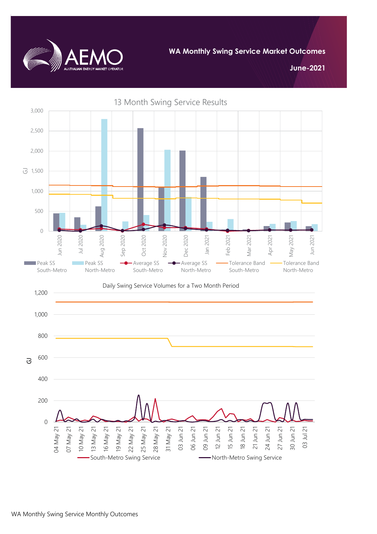

**WA Monthly Swing Service Market Outcomes**

**June-2021**